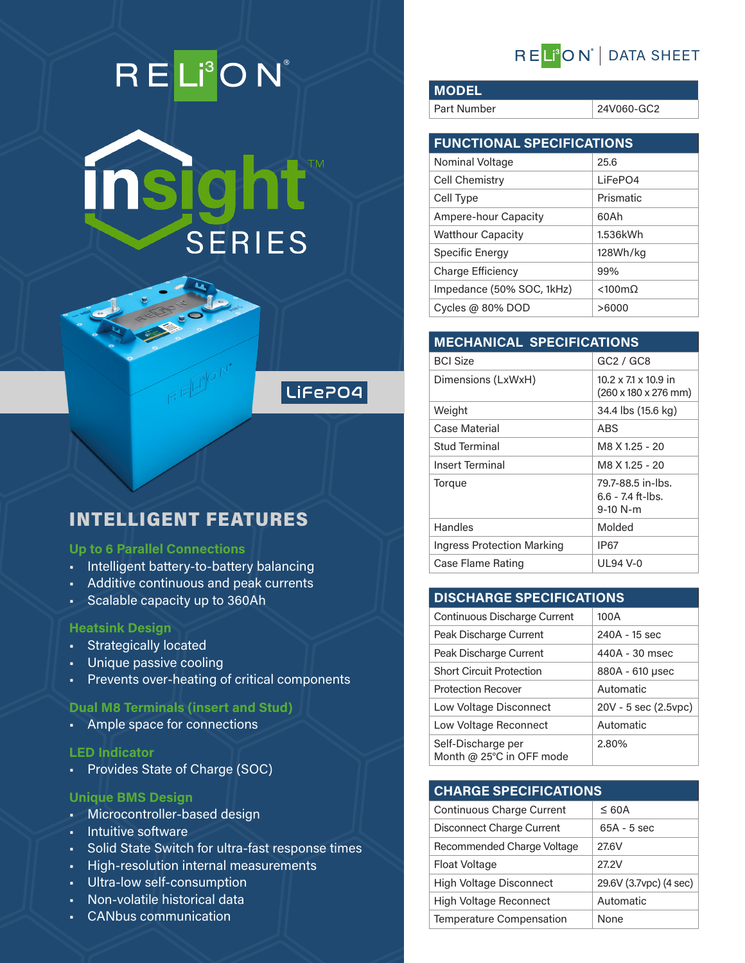# RELI<sup>3</sup>ON®



## LiFePO4

## INTELLIGENT FEATURES

#### **Up to 6 Parallel Connections**

- Intelligent battery-to-battery balancing
- Additive continuous and peak currents
- Scalable capacity up to 360Ah

#### **Heatsink Design**

- Strategically located
- Unique passive cooling
- Prevents over-heating of critical components

#### **Dual M8 Terminals (insert and Stud)**

• Ample space for connections

#### **LED Indicator**

• Provides State of Charge (SOC)

#### **Unique BMS Design**

- Microcontroller-based design
- Intuitive software
- Solid State Switch for ultra-fast response times
- High-resolution internal measurements
- Ultra-low self-consumption
- Non-volatile historical data
- CANbus communication

## RELI<sup>'</sup>ON' | DATA SHEET

**MODEL**

Part Number 24V060-GC2

| <b>FUNCTIONAL SPECIFICATIONS</b> |                        |
|----------------------------------|------------------------|
| Nominal Voltage                  | 25.6                   |
| Cell Chemistry                   | LiFePO4                |
| Cell Type                        | Prismatic              |
| Ampere-hour Capacity             | 60Ah                   |
| <b>Watthour Capacity</b>         | 1.536kWh               |
| Specific Energy                  | 128Wh/kg               |
| Charge Efficiency                | 99%                    |
| Impedance (50% SOC, 1kHz)        | $< 100 \text{m}\Omega$ |
| Cycles @ $80\%$ DOD              | >6000                  |

| <b>MECHANICAL SPECIFICATIONS</b>  |                                                                  |  |
|-----------------------------------|------------------------------------------------------------------|--|
| <b>BCI Size</b>                   | GC2 / GC8                                                        |  |
| Dimensions (LxWxH)                | 10.2 x 7.1 x 10.9 in<br>$(260 \times 180 \times 276 \text{ mm})$ |  |
| Weight                            | 34.4 lbs (15.6 kg)                                               |  |
| Case Material                     | ABS                                                              |  |
| Stud Terminal                     | M8 X 1.25 - 20                                                   |  |
| <b>Insert Terminal</b>            | M8 X 1.25 - 20                                                   |  |
| Torque                            | 79.7-88.5 in-lbs.<br>$6.6 - 7.4$ ft-lbs.<br>$9-10 N-m$           |  |
| Handles                           | Molded                                                           |  |
| <b>Ingress Protection Marking</b> | IP67                                                             |  |
| Case Flame Rating                 | UL94 V-0                                                         |  |

### **DISCHARGE SPECIFICATIONS**

| Continuous Discharge Current                   | 100A                 |
|------------------------------------------------|----------------------|
| Peak Discharge Current                         | 240A - 15 sec        |
| Peak Discharge Current                         | 440A - 30 msec       |
| <b>Short Circuit Protection</b>                | 880A - 610 µsec      |
| <b>Protection Recover</b>                      | Automatic            |
| Low Voltage Disconnect                         | 20V - 5 sec (2.5vpc) |
| Low Voltage Reconnect                          | Automatic            |
| Self-Discharge per<br>Month @ 25°C in OFF mode | 2.80%                |

#### **CHARGE SPECIFICATIONS**

| <b>Continuous Charge Current</b> | $\leq 60A$             |
|----------------------------------|------------------------|
| Disconnect Charge Current        | $65A - 5$ sec          |
| Recommended Charge Voltage       | 27.6V                  |
| Float Voltage                    | 27.2V                  |
| <b>High Voltage Disconnect</b>   | 29.6V (3.7vpc) (4 sec) |
| <b>High Voltage Reconnect</b>    | Automatic              |
| <b>Temperature Compensation</b>  | None                   |